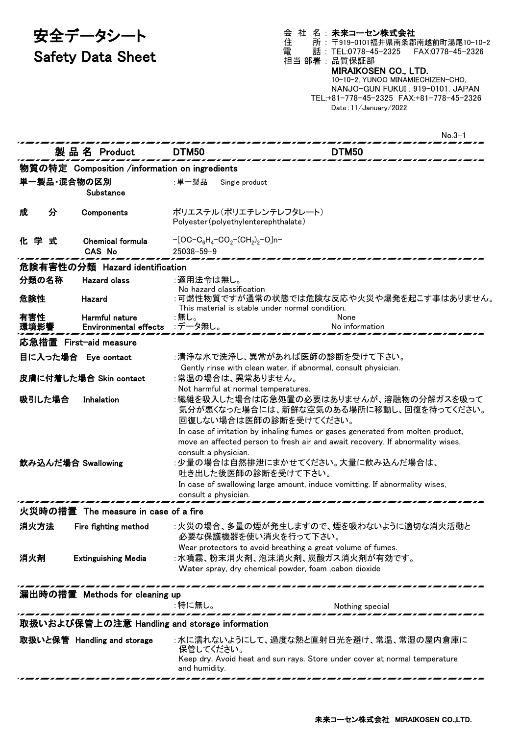# 安全データシート Safety Data Sheet

会 社 名 : 未来コーセン株式会社 住 所 : 〒919-0101福井県南条郡南越前町湯尾10-10-2 電 話 : TEL:0778-45-2325 FAX:0778-45-2326 担当 部署 : 品質保証部 MIRAIKOSEN CO., LTD. 10-10-2, YUNOO MINAMIECHIZEN-CHO, NANJO-GUN FUKUI . 919-0101. JAPAN TEL:+81-778-45-2325 FAX:+81-778-45-2326 Date:11/January/2022

|                     |                                                | $No.3-1$                                                                                                                                                                                                                                                                         |
|---------------------|------------------------------------------------|----------------------------------------------------------------------------------------------------------------------------------------------------------------------------------------------------------------------------------------------------------------------------------|
|                     | 製 品 名 Product                                  | DTM50<br>DTM50                                                                                                                                                                                                                                                                   |
|                     | 物質の特定 Composition /information on ingredients  |                                                                                                                                                                                                                                                                                  |
| 単一製品・混合物の区別         | Substance                                      | :単一製品<br>Single product                                                                                                                                                                                                                                                          |
| 分<br>成              | Components                                     | ポリエステル(ポリエチレンテレフタレート)<br>Polyester (polyethylenterephthalate)                                                                                                                                                                                                                    |
| 化学式                 | <b>Chemical formula</b><br><b>CAS No</b>       | $-[OC-C_6H_4-CO_2-(CH_2)_2-O]n-$<br>$25038 - 59 - 9$                                                                                                                                                                                                                             |
|                     | 危険有害性の分類 Hazard identification                 |                                                                                                                                                                                                                                                                                  |
| 分類の名称               | <b>Hazard class</b>                            | :適用法令は無し。                                                                                                                                                                                                                                                                        |
| 危険性                 | Hazard                                         | No hazard classification<br>:可燃性物質ですが通常の状態では危険な反応や火災や爆発を起こす事はありません。<br>This material is stable under normal condition.                                                                                                                                                           |
| 有害性<br>環境影響         | Harmful nature<br><b>Environmental effects</b> | :無し。<br>None<br>:データ無し。<br>No information                                                                                                                                                                                                                                        |
|                     | 応急措置 First-aid measure                         |                                                                                                                                                                                                                                                                                  |
| 目に入った場合 Eye contact |                                                | :清浄な水で洗浄し、異常があれば医師の診断を受けて下さい。                                                                                                                                                                                                                                                    |
|                     | 皮膚に付着した場合 Skin contact                         | Gently rinse with clean water, if abnormal, consult physician.<br>:常温の場合は、異常ありません。<br>Not harmful at normal temperatures.                                                                                                                                                        |
| 吸引した場合              | Inhalation                                     | :繊維を吸入した場合は応急処置の必要はありませんが、溶融物の分解ガスを吸って<br>気分が悪くなった場合には、新鮮な空気のある場所に移動し、回復を待ってください。<br>回復しない場合は医師の診断を受けてください。<br>In case of irritation by inhaling fumes or gases generated from molten product,<br>move an affected person to fresh air and await recovery. If abnormality wises, |
| 飲み込んだ場合 Swallowing  |                                                | consult a physician.<br>:少量の場合は自然排泄にまかせてください。大量に飲み込んだ場合は、<br>吐き出した後医師の診断を受けて下さい。<br>In case of swallowing large amount, induce vomitting. If abnormality wises,<br>consult a physician.                                                                                          |
|                     | 火災時の措置 The measure in case of a fire           |                                                                                                                                                                                                                                                                                  |
| 消火方法                | Fire fighting method                           | :火災の場合、多量の煙が発生しますので、煙を吸わないように適切な消火活動と<br>必要な保護機器を使い消火を行って下さい。                                                                                                                                                                                                                    |
| 消火剤                 | <b>Extinguishing Media</b>                     | Wear protectors to avoid breathing a great volume of fumes.<br>:水噴霧、粉末消火剤、泡沫消火剤、炭酸ガス消火剤が有効です。<br>Water spray, dry chemical powder, foam , cabon dioxide                                                                                                                          |
|                     | 漏出時の措置 Methods for cleaning up                 |                                                                                                                                                                                                                                                                                  |
|                     |                                                | :特に無し。<br>Nothing special                                                                                                                                                                                                                                                        |
|                     |                                                | 取扱いおよび保管上の注意 Handling and storage information                                                                                                                                                                                                                                    |
|                     | 取扱いと保管 Handling and storage                    | :水に濡れないようにして、過度な熱と直射日光を避け、常温、常湿の屋内倉庫に<br>保管してください。<br>Keep dry. Avoid heat and sun rays. Store under cover at normal temperature<br>and humidity.                                                                                                                                |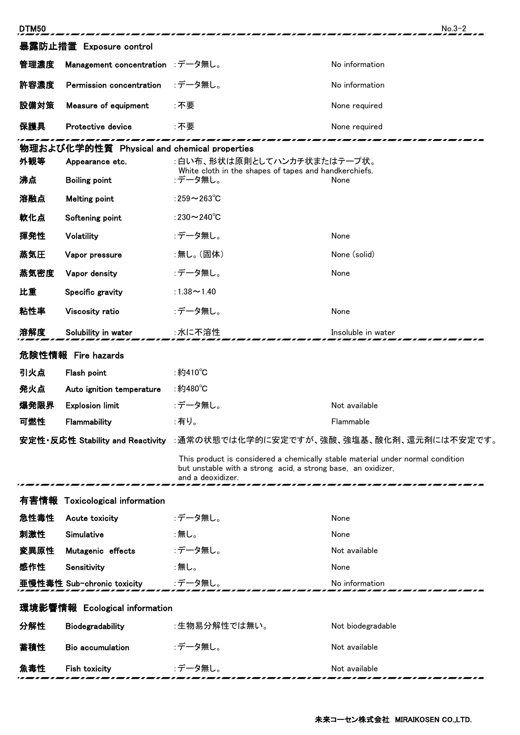| <b>DTM50</b>                                |                                  |                                                                                                                                                                     | $No.3-2$           |  |  |  |  |
|---------------------------------------------|----------------------------------|---------------------------------------------------------------------------------------------------------------------------------------------------------------------|--------------------|--|--|--|--|
| 暴露防止措置 Exposure control                     |                                  |                                                                                                                                                                     |                    |  |  |  |  |
| 管理濃度                                        | Management concentration :データ無し。 |                                                                                                                                                                     | No information     |  |  |  |  |
| 許容濃度                                        | Permission concentration         | :データ無し。                                                                                                                                                             | No information     |  |  |  |  |
| 設備対策                                        | Measure of equipment             | :不要                                                                                                                                                                 | None required      |  |  |  |  |
| 保護具                                         | Protective device                | :不要                                                                                                                                                                 | None required      |  |  |  |  |
| 物理および化学的性質 Physical and chemical properties |                                  |                                                                                                                                                                     |                    |  |  |  |  |
| 外観等                                         | Appearance etc.                  | :白い布、形状は原則としてハンカチ状またはテープ状。                                                                                                                                          |                    |  |  |  |  |
| 沸点                                          | <b>Boiling point</b>             | White cloth in the shapes of tapes and handkerchiefs.<br>:データ無し。                                                                                                    | None               |  |  |  |  |
| 溶融点                                         | <b>Melting point</b>             | :259 $\sim$ 263 $\degree$ C                                                                                                                                         |                    |  |  |  |  |
| 軟化点                                         | Softening point                  | :230 $\sim$ 240 $^{\circ}$ C                                                                                                                                        |                    |  |  |  |  |
| 揮発性                                         | Volatility                       | :データ無し。                                                                                                                                                             | None               |  |  |  |  |
| 蒸気圧                                         | Vapor pressure                   | :無し。(固体)                                                                                                                                                            | None (solid)       |  |  |  |  |
| 蒸気密度                                        | Vapor density                    | :データ無し。                                                                                                                                                             | None               |  |  |  |  |
| 比重                                          | Specific gravity                 | :1.38 $\sim$ 1.40                                                                                                                                                   |                    |  |  |  |  |
| 粘性率                                         | Viscosity ratio                  | :データ無し。                                                                                                                                                             | None               |  |  |  |  |
| 溶解度                                         | Solubility in water              | :水に不溶性                                                                                                                                                              | Insoluble in water |  |  |  |  |
|                                             | 危険性情報 Fire hazards               |                                                                                                                                                                     |                    |  |  |  |  |
| 引火点                                         | Flash point                      | :約410°C                                                                                                                                                             |                    |  |  |  |  |
| 発火点                                         | Auto ignition temperature        | :約480℃                                                                                                                                                              |                    |  |  |  |  |
| 爆発限界                                        | <b>Explosion limit</b>           | :データ無し。                                                                                                                                                             | Not available      |  |  |  |  |
| 可燃性                                         | Flammability                     | :有り。                                                                                                                                                                | Flammable          |  |  |  |  |
|                                             |                                  | 安定性・反応性 Stability and Reactivity :通常の状態では化学的に安定ですが、強酸、強塩基、酸化剤、還元剤には不安定です。                                                                                           |                    |  |  |  |  |
|                                             |                                  | This product is considered a chemically stable material under normal condition<br>but unstable with a strong acid, a strong base, an oxidizer,<br>and a deoxidizer. |                    |  |  |  |  |
| 有害情報                                        | <b>Toxicological information</b> |                                                                                                                                                                     |                    |  |  |  |  |
| 急性毒性                                        | Acute toxicity                   | :データ無し。                                                                                                                                                             | None               |  |  |  |  |
| 刺激性                                         | Simulative                       | :無し。                                                                                                                                                                | None               |  |  |  |  |
| 変異原性                                        | Mutagenic effects                | :データ無し。                                                                                                                                                             | Not available      |  |  |  |  |
| 感作性                                         | Sensitivity                      | :無し。                                                                                                                                                                | None               |  |  |  |  |
|                                             | 亜慢性毒性 Sub-chronic toxicity       | :データ無し。                                                                                                                                                             | No information     |  |  |  |  |
| 環境影響情報 Ecological information               |                                  |                                                                                                                                                                     |                    |  |  |  |  |
| 分解性                                         | Biodegradability                 | :生物易分解性では無い。                                                                                                                                                        | Not biodegradable  |  |  |  |  |
| 蓄積性                                         | <b>Bio accumulation</b>          | :データ無し。                                                                                                                                                             | Not available      |  |  |  |  |
| 魚毒性                                         | <b>Fish toxicity</b>             | :データ無し。                                                                                                                                                             | Not available      |  |  |  |  |
|                                             |                                  |                                                                                                                                                                     |                    |  |  |  |  |